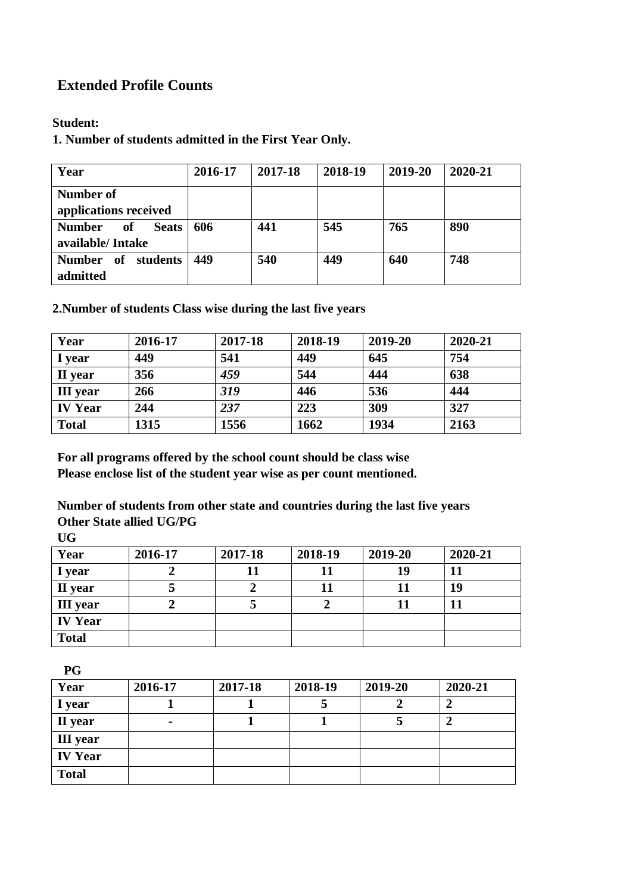# **Extended Profile Counts**

#### **Student:**

**1. Number of students admitted in the First Year Only.**

| Year                                                    | 2016-17 | 2017-18 | 2018-19 | 2019-20 | 2020-21 |
|---------------------------------------------------------|---------|---------|---------|---------|---------|
| Number of<br>applications received                      |         |         |         |         |         |
| <b>Number</b><br><b>Seats</b><br>of<br>available/Intake | 606     | 441     | 545     | 765     | 890     |
| Number of students<br>admitted                          | 449     | 540     | 449     | 640     | 748     |

**2.Number of students Class wise during the last five years**

| Year            | 2016-17 | 2017-18 | 2018-19 | 2019-20 | 2020-21 |
|-----------------|---------|---------|---------|---------|---------|
| I year          | 449     | 541     | 449     | 645     | 754     |
| II year         | 356     | 459     | 544     | 444     | 638     |
| <b>III</b> year | 266     | 319     | 446     | 536     | 444     |
| <b>IV Year</b>  | 244     | 237     | 223     | 309     | 327     |
| <b>Total</b>    | 1315    | 1556    | 1662    | 1934    | 2163    |

**For all programs offered by the school count should be class wise Please enclose list of the student year wise as per count mentioned.**

**Number of students from other state and countries during the last five years Other State allied UG/PG**

**UG**

| Year            | 2016-17 | 2017-18 | 2018-19 | 2019-20 | 2020-21 |
|-----------------|---------|---------|---------|---------|---------|
| I year          |         |         |         | 19      | 11      |
| II year         |         |         |         |         | 19      |
| <b>III</b> year |         |         |         |         |         |
| <b>IV Year</b>  |         |         |         |         |         |
| <b>Total</b>    |         |         |         |         |         |

 **PG** 

| Year            | 2016-17        | 2017-18 | 2018-19 | 2019-20 | 2020-21 |
|-----------------|----------------|---------|---------|---------|---------|
| I year          |                |         |         |         |         |
| II year         | $\blacksquare$ |         |         |         |         |
| <b>III</b> year |                |         |         |         |         |
| <b>IV Year</b>  |                |         |         |         |         |
| <b>Total</b>    |                |         |         |         |         |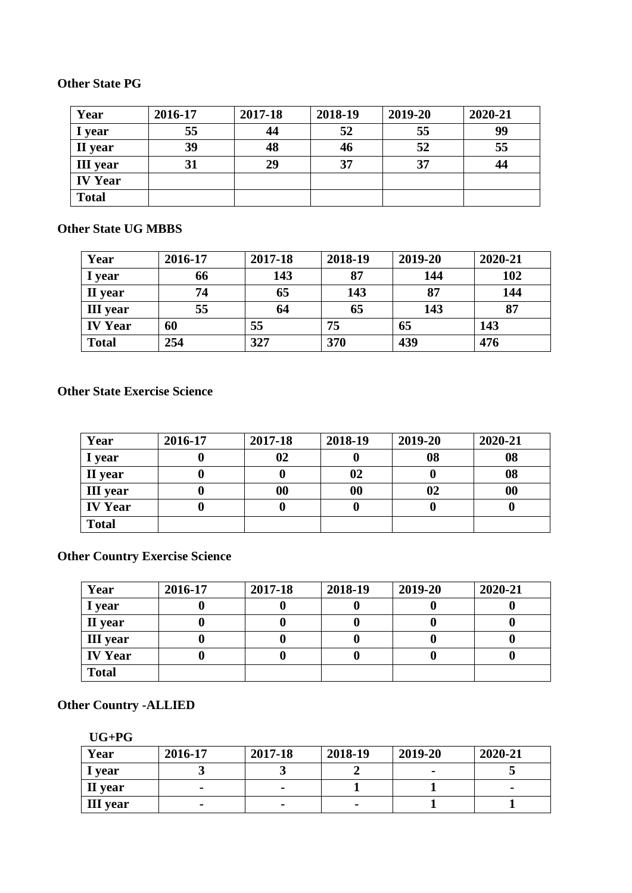### **Other State PG**

| Year            | 2016-17 | 2017-18 | 2018-19 | 2019-20 | 2020-21 |
|-----------------|---------|---------|---------|---------|---------|
| I year          | 55      | 44      | 52      | 55      | 99      |
| II year         | 39      | 48      | 46      | 52      | 55      |
| <b>III</b> year | 31      | 29      | 37      | 37      | 44      |
| <b>IV Year</b>  |         |         |         |         |         |
| <b>Total</b>    |         |         |         |         |         |

#### **Other State UG MBBS**

| Year            | 2016-17 | 2017-18 | 2018-19 | 2019-20 | 2020-21 |
|-----------------|---------|---------|---------|---------|---------|
| I year          | 66      | 143     | 87      | 144     | 102     |
| II year         | 74      | 65      | 143     | 87      | 144     |
| <b>III</b> year | 55      | 64      | 65      | 143     | 87      |
| <b>IV Year</b>  | 60      | 55      | 75      | 65      | 143     |
| <b>Total</b>    | 254     | 327     | 370     | 439     | 476     |

#### **Other State Exercise Science**

| Year            | 2016-17 | 2017-18           | 2018-19           | 2019-20 | 2020-21 |
|-----------------|---------|-------------------|-------------------|---------|---------|
| I year          |         | 02                |                   | 08      | 08      |
| II year         |         | U                 | 02                |         | 08      |
| <b>III</b> year |         | $\boldsymbol{00}$ | $\boldsymbol{00}$ | 02      | 00      |
| <b>IV Year</b>  |         | U                 |                   |         |         |
| <b>Total</b>    |         |                   |                   |         |         |

# **Other Country Exercise Science**

| Year            | 2016-17 | 2017-18 | 2018-19 | 2019-20 | 2020-21 |
|-----------------|---------|---------|---------|---------|---------|
| I year          |         |         |         |         |         |
| II year         |         |         |         |         |         |
| <b>III</b> year |         |         |         |         |         |
| <b>IV Year</b>  |         |         |         |         |         |
| <b>Total</b>    |         |         |         |         |         |

# **Other Country -ALLIED**

| v.<br>٠<br>v |
|--------------|
|--------------|

| Year            | 2016-17 | 2017-18 | 2018-19 | 2019-20 | 2020-21 |
|-----------------|---------|---------|---------|---------|---------|
| I year          |         |         |         |         |         |
| II year         |         |         |         |         |         |
| <b>III</b> year |         |         |         |         |         |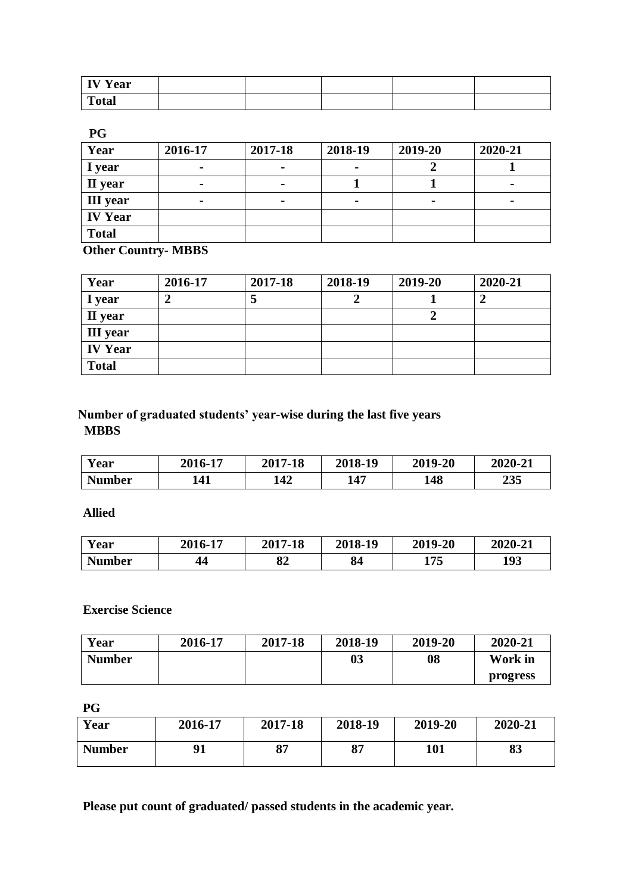| <b>IV Year</b> |  |  |  |
|----------------|--|--|--|
| <b>Total</b>   |  |  |  |

**PG**

| Year            | 2016-17        | 2017-18        | 2018-19        | 2019-20 | 2020-21                  |
|-----------------|----------------|----------------|----------------|---------|--------------------------|
| I year          | $\blacksquare$ | $\blacksquare$ | $\blacksquare$ |         |                          |
| II year         | $\blacksquare$ |                |                |         | -                        |
| <b>III</b> year |                | -              | $\blacksquare$ |         | $\overline{\phantom{0}}$ |
| <b>IV Year</b>  |                |                |                |         |                          |
| <b>Total</b>    |                |                |                |         |                          |

**Other Country- MBBS**

| Year            | 2016-17 | 2017-18 | 2018-19 | 2019-20 | 2020-21 |
|-----------------|---------|---------|---------|---------|---------|
| I year          |         | J       |         |         |         |
| II year         |         |         |         |         |         |
| <b>III</b> year |         |         |         |         |         |
| <b>IV Year</b>  |         |         |         |         |         |
| <b>Total</b>    |         |         |         |         |         |

### **Number of graduated students' year-wise during the last five years MBBS**

| Y ear         | 2016-17 | 2017-18 | 2018-19 | 2019-20 | 2020-21 |
|---------------|---------|---------|---------|---------|---------|
| <b>Number</b> | 141     | 142     | 147     | 148     | 235     |

 **Allied**

| Y ear         | 2016-17 | 2017-18  | 2018-19 | 2019-20 | 2020-21 |
|---------------|---------|----------|---------|---------|---------|
| <b>Number</b> | 44      | O4<br>o4 | 84      | 175     | 193     |

 **Exercise Science**

| Year          | 2016-17 | 2017-18 | 2018-19 | 2019-20 | 2020-21  |
|---------------|---------|---------|---------|---------|----------|
| <b>Number</b> |         |         | 03      | 08      | Work in  |
|               |         |         |         |         | progress |

**PG**

| Year          | 2016-17 | 2017-18 | 2018-19 | 2019-20 | 2020-21 |
|---------------|---------|---------|---------|---------|---------|
| <b>Number</b> |         | 97      | 07      | 101     | 83      |

**Please put count of graduated/ passed students in the academic year.**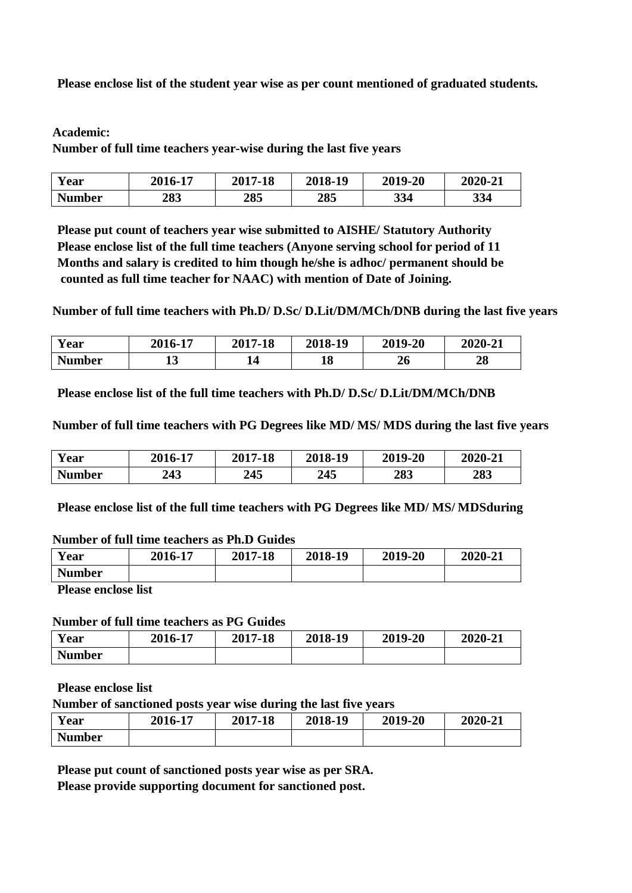**Please enclose list of the student year wise as per count mentioned of graduated students.**

#### **Academic:**

**Number of full time teachers year-wise during the last five years**

| Year          | 2016-17 | 2017-18 | 2018-19 | 2019-20 | 2020-21 |
|---------------|---------|---------|---------|---------|---------|
| <b>Number</b> | 283     | 285     | 285     | 334     | 334     |

**Please put count of teachers year wise submitted to AISHE/ Statutory Authority Please enclose list of the full time teachers (Anyone serving school for period of 11 Months and salary is credited to him though he/she is adhoc/ permanent should be counted as full time teacher for NAAC) with mention of Date of Joining.**

**Number of full time teachers with Ph.D/ D.Sc/ D.Lit/DM/MCh/DNB during the last five years**

| <b>Year</b>   | 2016-17 | 2017-18 | 2018-19 | 2019-20 | 2020-21  |
|---------------|---------|---------|---------|---------|----------|
| <b>Number</b> | ∸       | 14      | 18      | 40      | 90<br>40 |

**Please enclose list of the full time teachers with Ph.D/ D.Sc/ D.Lit/DM/MCh/DNB**

**Number of full time teachers with PG Degrees like MD/ MS/ MDS during the last five years**

| Year          | 2016-17     | 2017-18 | 2018-19 | 2019-20 | 2020-21 |
|---------------|-------------|---------|---------|---------|---------|
| <b>Number</b> | 242<br>44 J | 245     | 245     | 283     | 283     |

**Please enclose list of the full time teachers with PG Degrees like MD/ MS/ MDSduring**

#### **Number of full time teachers as Ph.D Guides**

| Year          | 2016-17 | 2017-18 | 2018-19 | 2019-20 | 2020-21 |
|---------------|---------|---------|---------|---------|---------|
| <b>Number</b> |         |         |         |         |         |

**Please enclose list** 

#### **Number of full time teachers as PG Guides**

| Year          | 2016-17 | 2017-18 | 2018-19 | 2019-20 | 2020-21 |
|---------------|---------|---------|---------|---------|---------|
| <b>Number</b> |         |         |         |         |         |

**Please enclose list** 

**Number of sanctioned posts year wise during the last five years**

| Year          | 2016-17 | 2017-18 | 2018-19 | 2019-20 | 2020-21 |
|---------------|---------|---------|---------|---------|---------|
| <b>Number</b> |         |         |         |         |         |

**Please put count of sanctioned posts year wise as per SRA.**

**Please provide supporting document for sanctioned post.**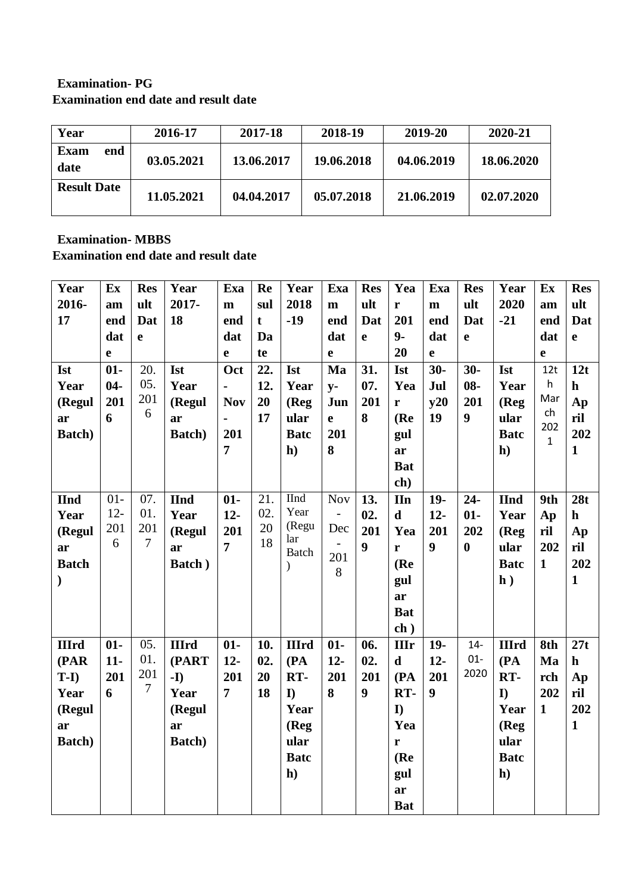### **Examination- PG Examination end date and result date**

| Year                       | 2016-17    | 2017-18    | 2018-19    | 2019-20    | 2020-21    |
|----------------------------|------------|------------|------------|------------|------------|
| <b>Exam</b><br>end<br>date | 03.05.2021 | 13.06.2017 | 19.06.2018 | 04.06.2019 | 18.06.2020 |
| <b>Result Date</b>         | 11.05.2021 | 04.04.2017 | 05.07.2018 | 21.06.2019 | 02.07.2020 |

#### **Examination- MBBS Examination end date and result date**

| Year           | Ex     | <b>Res</b>     | Year         | Exa            | Re          | Year                | Exa                      | <b>Res</b>       | Yea          | Exa          | <b>Res</b>       | Year         | Ex                  | <b>Res</b>   |
|----------------|--------|----------------|--------------|----------------|-------------|---------------------|--------------------------|------------------|--------------|--------------|------------------|--------------|---------------------|--------------|
| 2016-          | am     | ult            | 2017-        | m              | sul         | 2018                | $\mathbf{m}$             | ult              | r            | $\mathbf{m}$ | ult              | 2020         | am                  | ult          |
| 17             | end    | Dat            | 18           | end            | $\mathbf t$ | $-19$               | end                      | Dat              | 201          | end          | Dat              | $-21$        | end                 | Dat          |
|                | dat    | $\mathbf e$    |              | dat            | Da          |                     | dat                      | $\mathbf{e}$     | $9-$         | dat          | e                |              | dat                 | $\mathbf e$  |
|                | e      |                |              | $\mathbf e$    | te          |                     | $\mathbf e$              |                  | 20           | $\mathbf e$  |                  |              | e                   |              |
| <b>Ist</b>     | $01 -$ | 20.            | <b>Ist</b>   | Oct            | 22.         | <b>Ist</b>          | Ma                       | 31.              | <b>Ist</b>   | $30-$        | $30-$            | <b>Ist</b>   | 12t                 | 12t          |
| Year           | $04-$  | 05.            | Year         |                | 12.         | Year                | $y-$                     | 07.              | Yea          | Jul          | $08 -$           | Year         | h                   | $\mathbf h$  |
| (Regul         | 201    | 201            | (Regul       | <b>Nov</b>     | 20          | (Reg                | Jun                      | 201              | r            | y20          | 201              | (Reg)        | Mar                 | Ap           |
| ar             | 6      | 6              | ar           | $\blacksquare$ | 17          | ular                | $\mathbf{e}$             | 8                | (Re)         | 19           | $\boldsymbol{9}$ | ular         | ch                  | ril          |
| <b>Batch</b> ) |        |                | Batch)       | 201            |             | <b>Batc</b>         | 201                      |                  | gul          |              |                  | <b>Batc</b>  | 202<br>$\mathbf{1}$ | 202          |
|                |        |                |              | $\overline{7}$ |             | h)                  | 8                        |                  | ar           |              |                  | h)           |                     | $\mathbf{1}$ |
|                |        |                |              |                |             |                     |                          |                  | <b>Bat</b>   |              |                  |              |                     |              |
|                |        |                |              |                |             |                     |                          |                  | ch)          |              |                  |              |                     |              |
| <b>IInd</b>    | $01-$  | 07.            | <b>IInd</b>  | $01 -$         | 21.         | <b>IInd</b>         | <b>Nov</b>               | 13.              | <b>IIn</b>   | $19-$        | $24 -$           | <b>IInd</b>  | 9th                 | 28t          |
| Year           | $12 -$ | 01.            | Year         | $12-$          | 02.         | Year                | $\sim$                   | 02.              | $\mathbf d$  | $12-$        | $01 -$           | Year         | Ap                  | $\mathbf{h}$ |
| (Regul         | 201    | 201            | (Regul       | 201            | 20          | (Regu               | Dec                      | 201              | Yea          | 201          | 202              | (Reg         | ril                 | Ap           |
| ar             | 6      | $\overline{7}$ | ar           | $\overline{7}$ | 18          | lar<br><b>Batch</b> | $\overline{\phantom{a}}$ | $\boldsymbol{9}$ | r            | 9            | $\boldsymbol{0}$ | ular         | 202                 | ril          |
| <b>Batch</b>   |        |                | Batch)       |                |             | $\lambda$           | 201                      |                  | (Re)         |              |                  | <b>Batc</b>  | $\mathbf{1}$        | 202          |
| $\mathbf{I}$   |        |                |              |                |             |                     | 8                        |                  | gul          |              |                  | h)           |                     | $\mathbf{1}$ |
|                |        |                |              |                |             |                     |                          |                  | ar           |              |                  |              |                     |              |
|                |        |                |              |                |             |                     |                          |                  | <b>Bat</b>   |              |                  |              |                     |              |
|                |        |                |              |                |             |                     |                          |                  | $ch$ )       |              |                  |              |                     |              |
| <b>IIIrd</b>   | $01 -$ | 05.            | <b>IIIrd</b> | $01 -$         | 10.         | <b>IIIrd</b>        | $01 -$                   | 06.              | <b>III</b> r | $19-$        | $14-$            | <b>IIIrd</b> | 8th                 | 27t          |
| (PAR)          | $11-$  | 01.            | (PART        | $12-$          | 02.         | (PA)                | $12-$                    | 02.              | $\mathbf d$  | $12-$        | $01 -$           | (PA)         | Ma                  | $\mathbf{h}$ |
| $T-I$          | 201    | 201            | $-I$         | 201            | 20          | RT-                 | 201                      | 201              | (PA)         | 201          | 2020             | RT-          | rch                 | Ap           |
| Year           | 6      | 7              | Year         | $\overline{7}$ | 18          | $\mathbf{I}$        | 8                        | 9                | RT-          | 9            |                  | $\mathbf{I}$ | 202                 | ril          |
| (Regul         |        |                | (Regul       |                |             | Year                |                          |                  | $\mathbf{I}$ |              |                  | Year         | $\mathbf{1}$        | 202          |
| ar             |        |                | ar           |                |             | (Reg                |                          |                  | Yea          |              |                  | (Reg         |                     | $\mathbf{1}$ |
| <b>Batch</b> ) |        |                | Batch)       |                |             | ular                |                          |                  | r            |              |                  | ular         |                     |              |
|                |        |                |              |                |             | <b>Batc</b>         |                          |                  | (Re)         |              |                  | <b>Batc</b>  |                     |              |
|                |        |                |              |                |             | h)                  |                          |                  | gul          |              |                  | h)           |                     |              |
|                |        |                |              |                |             |                     |                          |                  | ar           |              |                  |              |                     |              |
|                |        |                |              |                |             |                     |                          |                  | <b>Bat</b>   |              |                  |              |                     |              |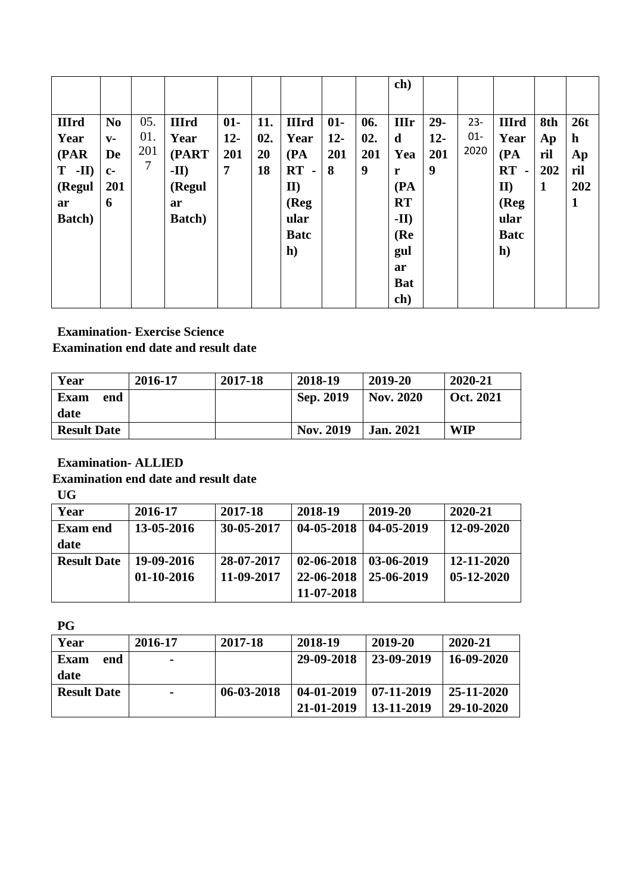|                |                |     |                |                |     |              |        |     | ch)         |       |        |               |     |             |
|----------------|----------------|-----|----------------|----------------|-----|--------------|--------|-----|-------------|-------|--------|---------------|-----|-------------|
|                |                |     |                |                |     |              |        |     |             |       |        |               |     |             |
| <b>IIIrd</b>   | N <sub>0</sub> | 05. | <b>IIIrd</b>   | $01 -$         | 11. | <b>IIIrd</b> | $01 -$ | 06. | <b>IIIr</b> | $29-$ | $23 -$ | <b>IIIrd</b>  | 8th | 26t         |
| Year           | $V -$          | 01. | Year           | $12 -$         | 02. | Year         | $12-$  | 02. | $\mathbf d$ | $12-$ | $01 -$ | Year          | Ap  | $\mathbf h$ |
| (PAR)          | De             | 201 | (PART          | 201            | 20  | (PA)         | 201    | 201 | Yea         | 201   | 2020   | (PA)          | ril | Ap          |
| $-III$<br>T    | $c-$           | 7   | $-II)$         | $\overline{7}$ | 18  | $RT -$       | 8      | 9   | r           | 9     |        | RT<br>$\sim$  | 202 | ril         |
| (Regul         | 201            |     | (Regul         |                |     | $II$         |        |     | (PA)        |       |        | $\mathbf{II}$ | 1   | 202         |
| ar             | 6              |     | ar             |                |     | (Reg)        |        |     | <b>RT</b>   |       |        | (Reg)         |     | 1           |
| <b>Batch</b> ) |                |     | <b>Batch</b> ) |                |     | ular         |        |     | $-II)$      |       |        | ular          |     |             |
|                |                |     |                |                |     | <b>Batc</b>  |        |     | (Re         |       |        | <b>Batc</b>   |     |             |
|                |                |     |                |                |     | h)           |        |     | gul         |       |        | h)            |     |             |
|                |                |     |                |                |     |              |        |     | ar          |       |        |               |     |             |
|                |                |     |                |                |     |              |        |     | <b>Bat</b>  |       |        |               |     |             |
|                |                |     |                |                |     |              |        |     | ch)         |       |        |               |     |             |

#### **Examination- Exercise Science Examination end date and result date**

| Year               | 2016-17 | 2017-18 | 2018-19          | 2019-20          | 2020-21          |
|--------------------|---------|---------|------------------|------------------|------------------|
| Exam<br>end        |         |         | Sep. 2019        | <b>Nov. 2020</b> | <b>Oct. 2021</b> |
| date               |         |         |                  |                  |                  |
| <b>Result Date</b> |         |         | <b>Nov. 2019</b> | <b>Jan. 2021</b> | <b>WIP</b>       |

### **Examination- ALLIED**

### **Examination end date and result date**

**UG** 

| Year               | 2016-17      | 2017-18    | 2018-19    | 2019-20    | 2020-21      |
|--------------------|--------------|------------|------------|------------|--------------|
| <b>Exam end</b>    | 13-05-2016   | 30-05-2017 | 04-05-2018 | 04-05-2019 | 12-09-2020   |
| date               |              |            |            |            |              |
| <b>Result Date</b> | 19-09-2016   | 28-07-2017 | 02-06-2018 | 03-06-2019 | 12-11-2020   |
|                    | $01-10-2016$ | 11-09-2017 | 22-06-2018 | 25-06-2019 | $05-12-2020$ |
|                    |              |            | 11-07-2018 |            |              |

**PG** 

| Year               | 2016-17        | 2017-18    | 2018-19    | 2019-20    | 2020-21    |
|--------------------|----------------|------------|------------|------------|------------|
| Exam<br>end        | $\blacksquare$ |            | 29-09-2018 | 23-09-2019 | 16-09-2020 |
| date               |                |            |            |            |            |
| <b>Result Date</b> | $\blacksquare$ | 06-03-2018 | 04-01-2019 | 07-11-2019 | 25-11-2020 |
|                    |                |            | 21-01-2019 | 13-11-2019 | 29-10-2020 |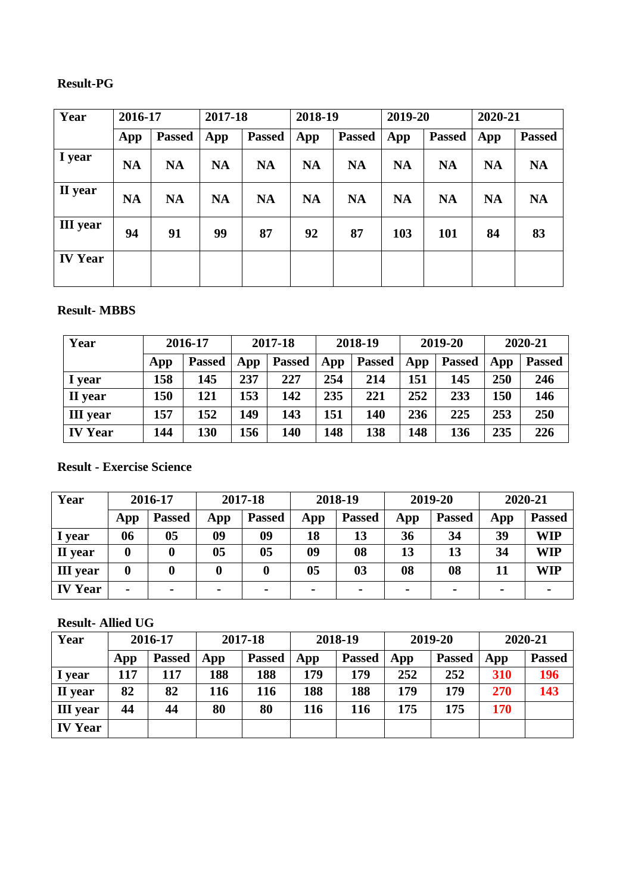# **Result-PG**

| Year            | 2016-17   |               | 2017-18   |               |           | 2018-19       |           | 2019-20       |           | 2020-21       |  |
|-----------------|-----------|---------------|-----------|---------------|-----------|---------------|-----------|---------------|-----------|---------------|--|
|                 | App       | <b>Passed</b> | App       | <b>Passed</b> | App       | <b>Passed</b> | App       | <b>Passed</b> | App       | <b>Passed</b> |  |
| I year          | <b>NA</b> | <b>NA</b>     | <b>NA</b> | <b>NA</b>     | <b>NA</b> | <b>NA</b>     | <b>NA</b> | <b>NA</b>     | <b>NA</b> | <b>NA</b>     |  |
| II year         | <b>NA</b> | <b>NA</b>     | <b>NA</b> | <b>NA</b>     | <b>NA</b> | <b>NA</b>     | <b>NA</b> | <b>NA</b>     | <b>NA</b> | <b>NA</b>     |  |
| <b>III</b> year | 94        | 91            | 99        | 87            | 92        | 87            | 103       | 101           | 84        | 83            |  |
| <b>IV Year</b>  |           |               |           |               |           |               |           |               |           |               |  |

#### **Result- MBBS**

| Year            |     | 2016-17       |     | 2017-18       |     | 2018-19       |     | 2019-20       | 2020-21 |               |
|-----------------|-----|---------------|-----|---------------|-----|---------------|-----|---------------|---------|---------------|
|                 | App | <b>Passed</b> | App | <b>Passed</b> | App | <b>Passed</b> | App | <b>Passed</b> | App     | <b>Passed</b> |
| I year          | 158 | 145           | 237 | 227           | 254 | 214           | 151 | 145           | 250     | 246           |
| II year         | 150 | 121           | 153 | 142           | 235 | 221           | 252 | 233           | 150     | 146           |
| <b>III</b> year | 157 | 152           | 149 | 143           | 151 | 140           | 236 | 225           | 253     | 250           |
| <b>IV Year</b>  | 144 | 130           | 156 | 140           | 148 | 138           | 148 | 136           | 235     | 226           |

### **Result - Exercise Science**

| Year            |                | 2016-17       | 2017-18        |                | 2018-19        |                | 2019-20        |                | 2020-21        |               |
|-----------------|----------------|---------------|----------------|----------------|----------------|----------------|----------------|----------------|----------------|---------------|
|                 | App            | <b>Passed</b> | App            | <b>Passed</b>  | App            | <b>Passed</b>  | App            | <b>Passed</b>  | App            | <b>Passed</b> |
| I year          | 06             | 05            | 09             | 09             | 18             | 13             | 36             | 34             | 39             | WIP           |
| II year         | 0              |               | 0 <sub>5</sub> | 0 <sub>5</sub> | 09             | 08             | 13             | 13             | 34             | WIP           |
| <b>III</b> year | 0              |               |                | 0              | 05             | 0 <sub>3</sub> | 08             | 08             | 11             | WIP           |
| <b>IV Year</b>  | $\blacksquare$ |               | $\blacksquare$ | $\blacksquare$ | $\blacksquare$ | $\blacksquare$ | $\blacksquare$ | $\blacksquare$ | $\blacksquare$ |               |

### **Result- Allied UG**

| Year            |     | 2016-17       | 2017-18 |               | 2018-19 |               | 2019-20 |               | 2020-21 |               |
|-----------------|-----|---------------|---------|---------------|---------|---------------|---------|---------------|---------|---------------|
|                 | App | <b>Passed</b> | App     | <b>Passed</b> | App     | <b>Passed</b> | App     | <b>Passed</b> | App     | <b>Passed</b> |
| I year          | 117 | 117           | 188     | 188           | 179     | 179           | 252     | 252           | 310     | 196           |
| II year         | 82  | 82            | 116     | 116           | 188     | 188           | 179     | 179           | 270     | 143           |
| <b>III</b> year | 44  | 44            | 80      | 80            | 116     | 116           | 175     | 175           | 170     |               |
| <b>IV Year</b>  |     |               |         |               |         |               |         |               |         |               |